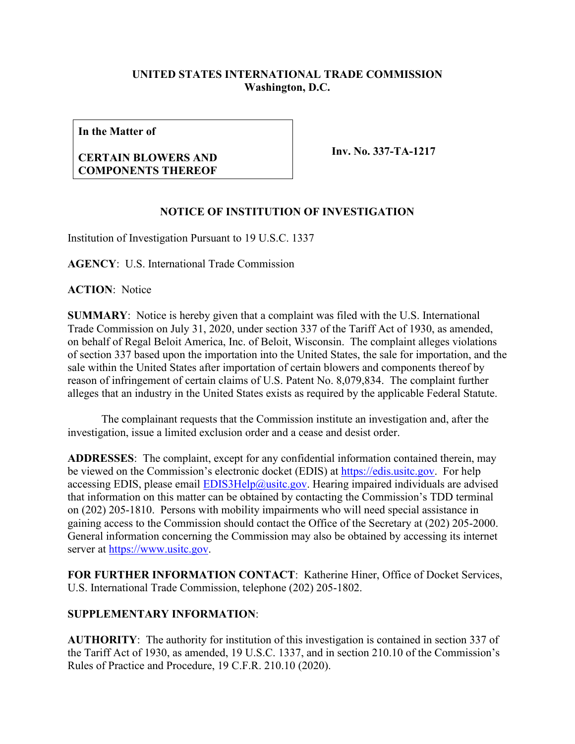## **UNITED STATES INTERNATIONAL TRADE COMMISSION Washington, D.C.**

**In the Matter of**

## **CERTAIN BLOWERS AND COMPONENTS THEREOF**

**Inv. No. 337-TA-1217**

## **NOTICE OF INSTITUTION OF INVESTIGATION**

Institution of Investigation Pursuant to 19 U.S.C. 1337

**AGENCY**: U.S. International Trade Commission

**ACTION**: Notice

**SUMMARY**: Notice is hereby given that a complaint was filed with the U.S. International Trade Commission on July 31, 2020, under section 337 of the Tariff Act of 1930, as amended, on behalf of Regal Beloit America, Inc. of Beloit, Wisconsin. The complaint alleges violations of section 337 based upon the importation into the United States, the sale for importation, and the sale within the United States after importation of certain blowers and components thereof by reason of infringement of certain claims of U.S. Patent No. 8,079,834. The complaint further alleges that an industry in the United States exists as required by the applicable Federal Statute.

The complainant requests that the Commission institute an investigation and, after the investigation, issue a limited exclusion order and a cease and desist order.

**ADDRESSES**: The complaint, except for any confidential information contained therein, may be viewed on the Commission's electronic docket (EDIS) at [https://edis.usitc.gov.](https://edis.usitc.gov/) For help accessing EDIS, please email  $EDIS3Help@ustc.gov$ . Hearing impaired individuals are advised that information on this matter can be obtained by contacting the Commission's TDD terminal on (202) 205-1810. Persons with mobility impairments who will need special assistance in gaining access to the Commission should contact the Office of the Secretary at (202) 205-2000. General information concerning the Commission may also be obtained by accessing its internet server at [https://www.usitc.gov.](https://www.usitc.gov/)

**FOR FURTHER INFORMATION CONTACT**: Katherine Hiner, Office of Docket Services, U.S. International Trade Commission, telephone (202) 205-1802.

## **SUPPLEMENTARY INFORMATION**:

**AUTHORITY**: The authority for institution of this investigation is contained in section 337 of the Tariff Act of 1930, as amended, 19 U.S.C. 1337, and in section 210.10 of the Commission's Rules of Practice and Procedure, 19 C.F.R. 210.10 (2020).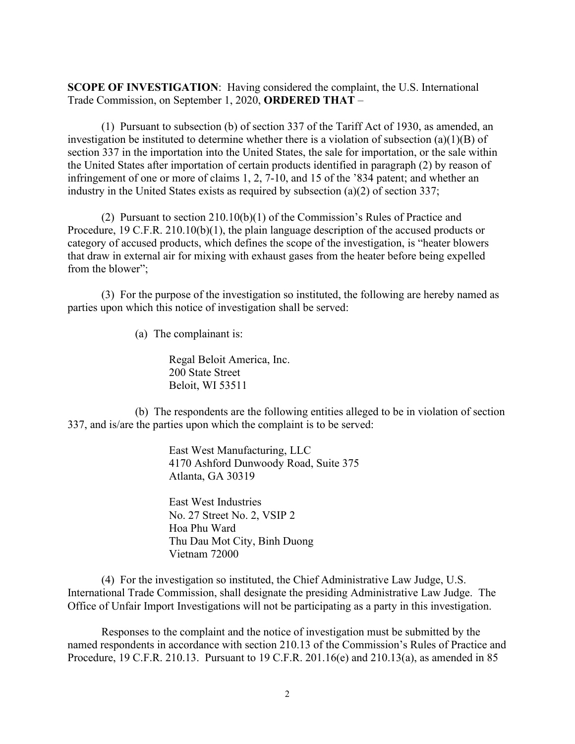**SCOPE OF INVESTIGATION**: Having considered the complaint, the U.S. International Trade Commission, on September 1, 2020, **ORDERED THAT** –

(1) Pursuant to subsection (b) of section 337 of the Tariff Act of 1930, as amended, an investigation be instituted to determine whether there is a violation of subsection (a)(1)(B) of section 337 in the importation into the United States, the sale for importation, or the sale within the United States after importation of certain products identified in paragraph (2) by reason of infringement of one or more of claims 1, 2, 7-10, and 15 of the '834 patent; and whether an industry in the United States exists as required by subsection (a)(2) of section 337;

(2) Pursuant to section 210.10(b)(1) of the Commission's Rules of Practice and Procedure, 19 C.F.R. 210.10(b)(1), the plain language description of the accused products or category of accused products, which defines the scope of the investigation, is "heater blowers that draw in external air for mixing with exhaust gases from the heater before being expelled from the blower";

(3) For the purpose of the investigation so instituted, the following are hereby named as parties upon which this notice of investigation shall be served:

(a) The complainant is:

Regal Beloit America, Inc. 200 State Street Beloit, WI 53511

(b) The respondents are the following entities alleged to be in violation of section 337, and is/are the parties upon which the complaint is to be served:

> East West Manufacturing, LLC 4170 Ashford Dunwoody Road, Suite 375 Atlanta, GA 30319

East West Industries No. 27 Street No. 2, VSIP 2 Hoa Phu Ward Thu Dau Mot City, Binh Duong Vietnam 72000

(4) For the investigation so instituted, the Chief Administrative Law Judge, U.S. International Trade Commission, shall designate the presiding Administrative Law Judge. The Office of Unfair Import Investigations will not be participating as a party in this investigation.

Responses to the complaint and the notice of investigation must be submitted by the named respondents in accordance with section 210.13 of the Commission's Rules of Practice and Procedure, 19 C.F.R. 210.13. Pursuant to 19 C.F.R. 201.16(e) and 210.13(a), as amended in 85